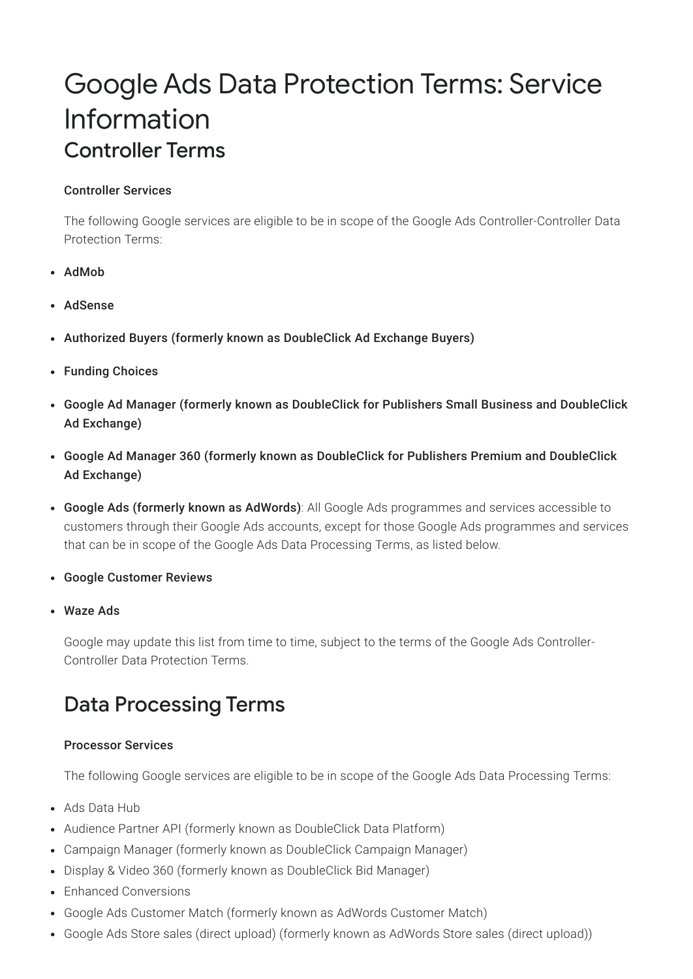# Google Ads Data Protection Terms: Service Information Controller Terms

### Controller Services

The following Google services are eligible to be in scope of the Google Ads Controller-Controller Data Protection Terms:

- AdMob
- AdSense
- Authorized Buyers (formerly known as DoubleClick Ad Exchange Buyers)
- Funding Choices
- Google Ad Manager (formerly known as DoubleClick for Publishers Small Business and DoubleClick Ad Exchange)
- Google Ad Manager 360 (formerly known as DoubleClick for Publishers Premium and DoubleClick Ad Exchange)
- Google Ads (formerly known as AdWords): All Google Ads programmes and services accessible to customers through their Google Ads accounts, except for those Google Ads programmes and services that can be in scope of the Google Ads Data Processing Terms, as listed below.
- Google Customer Reviews
- Waze Ads

Google may update this list from time to time, subject to the terms of the Google Ads Controller-Controller Data Protection Terms.

## Data Processing Terms

### Processor Services

The following Google services are eligible to be in scope of the Google Ads Data Processing Terms:

- Ads Data Hub
- Audience Partner API (formerly known as DoubleClick Data Platform)
- Campaign Manager (formerly known as DoubleClick Campaign Manager)
- Display & Video 360 (formerly known as DoubleClick Bid Manager)
- Enhanced Conversions
- Google Ads Customer Match (formerly known as AdWords Customer Match)
- Google Ads Store sales (direct upload) (formerly known as AdWords Store sales (direct upload))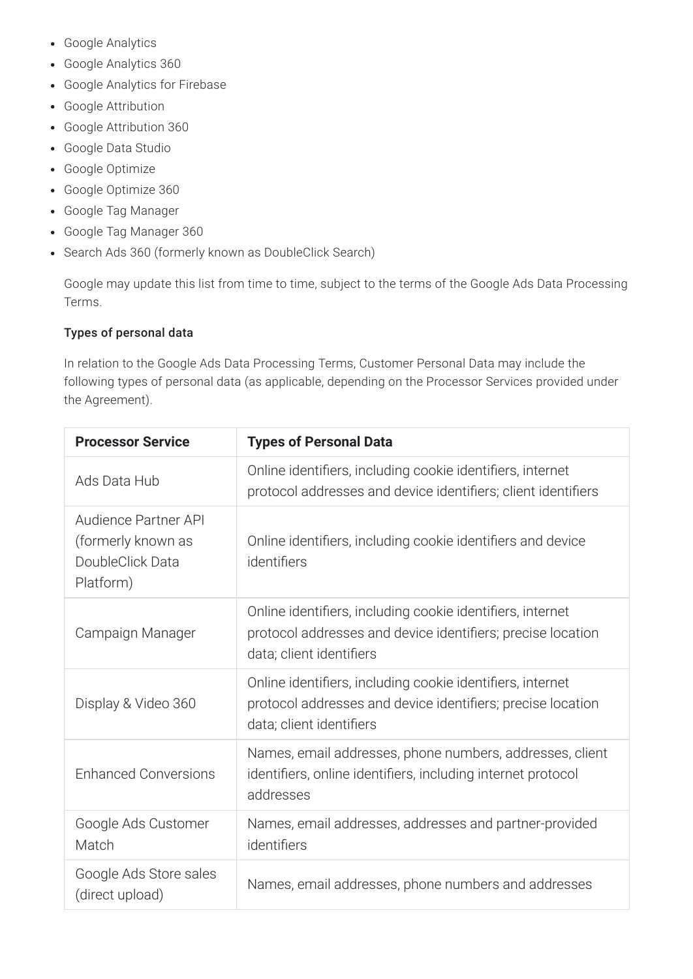- Google Analytics
- Google Analytics 360
- Google Analytics for Firebase
- Google Attribution
- Google Attribution 360
- Google Data Studio
- Google Optimize
- Google Optimize 360
- Google Tag Manager
- Google Tag Manager 360
- Search Ads 360 (formerly known as DoubleClick Search)

Google may update this list from time to time, subject to the terms of the Google Ads Data Processing Terms.

### Types of personal data

In relation to the Google Ads Data Processing Terms, Customer Personal Data may include the following types of personal data (as applicable, depending on the Processor Services provided under the Agreement).

| <b>Processor Service</b>                                                    | <b>Types of Personal Data</b>                                                                                                                         |
|-----------------------------------------------------------------------------|-------------------------------------------------------------------------------------------------------------------------------------------------------|
| Ads Data Hub                                                                | Online identifiers, including cookie identifiers, internet<br>protocol addresses and device identifiers; client identifiers                           |
| Audience Partner API<br>(formerly known as<br>DoubleClick Data<br>Platform) | Online identifiers, including cookie identifiers and device<br>identifiers                                                                            |
| Campaign Manager                                                            | Online identifiers, including cookie identifiers, internet<br>protocol addresses and device identifiers; precise location<br>data; client identifiers |
| Display & Video 360                                                         | Online identifiers, including cookie identifiers, internet<br>protocol addresses and device identifiers; precise location<br>data; client identifiers |
| <b>Enhanced Conversions</b>                                                 | Names, email addresses, phone numbers, addresses, client<br>identifiers, online identifiers, including internet protocol<br>addresses                 |
| Google Ads Customer<br>Match                                                | Names, email addresses, addresses and partner-provided<br>identifiers                                                                                 |
| Google Ads Store sales<br>(direct upload)                                   | Names, email addresses, phone numbers and addresses                                                                                                   |